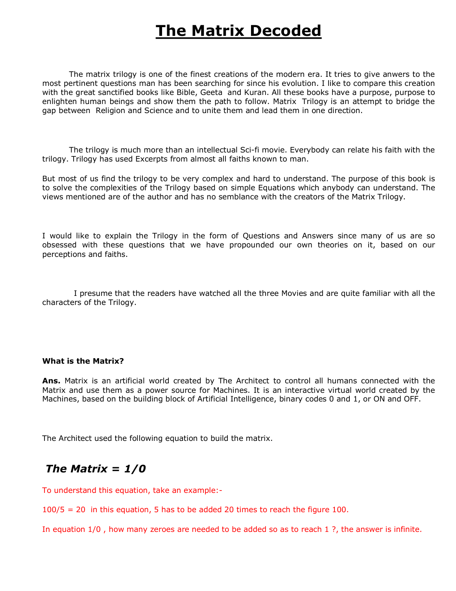# **The Matrix Decoded**

The matrix trilogy is one of the finest creations of the modern era. It tries to give anwers to the most pertinent questions man has been searching for since his evolution. I like to compare this creation with the great sanctified books like Bible, Geeta and Kuran. All these books have a purpose, purpose to enlighten human beings and show them the path to follow. Matrix Trilogy is an attempt to bridge the gap between Religion and Science and to unite them and lead them in one direction.

The trilogy is much more than an intellectual Sci-fi movie. Everybody can relate his faith with the trilogy. Trilogy has used Excerpts from almost all faiths known to man.

But most of us find the trilogy to be very complex and hard to understand. The purpose of this book is to solve the complexities of the Trilogy based on simple Equations which anybody can understand. The views mentioned are of the author and has no semblance with the creators of the Matrix Trilogy.

I would like to explain the Trilogy in the form of Questions and Answers since many of us are so obsessed with these questions that we have propounded our own theories on it, based on our perceptions and faiths.

I presume that the readers have watched all the three Movies and are quite familiar with all the characters of the Trilogy.

#### **What is the Matrix?**

**Ans.**  Matrix is an artificial world created by The Architect to control all humans connected with the Matrix and use them as a power source for Machines. It is an interactive virtual world created by the Machines, based on the building block of Artificial Intelligence, binary codes 0 and 1, or ON and OFF.

The Architect used the following equation to build the matrix.

# *The Matrix = 1/0*

To understand this equation, take an example:

100/5 = 20 in this equation, 5 has to be added 20 times to reach the figure 100.

In equation 1/0 , how many zeroes are needed to be added so as to reach 1 ?, the answer is infinite.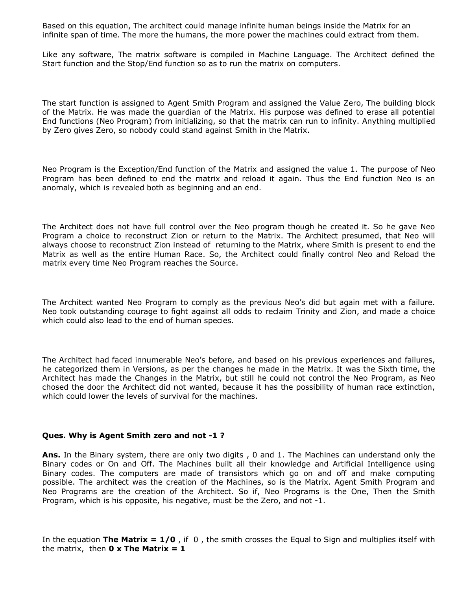Based on this equation, The architect could manage infinite human beings inside the Matrix for an infinite span of time. The more the humans, the more power the machines could extract from them.

Like any software, The matrix software is compiled in Machine Language. The Architect defined the Start function and the Stop/End function so as to run the matrix on computers.

The start function is assigned to Agent Smith Program and assigned the Value Zero, The building block of the Matrix. He was made the guardian of the Matrix. His purpose was defined to erase all potential End functions (Neo Program) from initializing, so that the matrix can run to infinity. Anything multiplied by Zero gives Zero, so nobody could stand against Smith in the Matrix.

Neo Program is the Exception/End function of the Matrix and assigned the value 1. The purpose of Neo Program has been defined to end the matrix and reload it again. Thus the End function Neo is an anomaly, which is revealed both as beginning and an end.

The Architect does not have full control over the Neo program though he created it. So he gave Neo Program a choice to reconstruct Zion or return to the Matrix. The Architect presumed, that Neo will always choose to reconstruct Zion instead of returning to the Matrix, where Smith is present to end the Matrix as well as the entire Human Race. So, the Architect could finally control Neo and Reload the matrix every time Neo Program reaches the Source.

The Architect wanted Neo Program to comply as the previous Neo's did but again met with a failure. Neo took outstanding courage to fight against all odds to reclaim Trinity and Zion, and made a choice which could also lead to the end of human species.

The Architect had faced innumerable Neo's before, and based on his previous experiences and failures, he categorized them in Versions, as per the changes he made in the Matrix. It was the Sixth time, the Architect has made the Changes in the Matrix, but still he could not control the Neo Program, as Neo chosed the door the Architect did not wanted, because it has the possibility of human race extinction, which could lower the levels of survival for the machines.

# **Ques. Why is Agent Smith zero and not -1 ?**

**Ans.** In the Binary system, there are only two digits , 0 and 1. The Machines can understand only the Binary codes or On and Off. The Machines built all their knowledge and Artificial Intelligence using Binary codes. The computers are made of transistors which go on and off and make computing possible. The architect was the creation of the Machines, so is the Matrix. Agent Smith Program and Neo Programs are the creation of the Architect. So if, Neo Programs is the One, Then the Smith Program, which is his opposite, his negative, must be the Zero, and not -1.

In the equation **The Matrix = 1/0** , if 0 , the smith crosses the Equal to Sign and multiplies itself with the matrix, then  $0 \times$  **The Matrix = 1**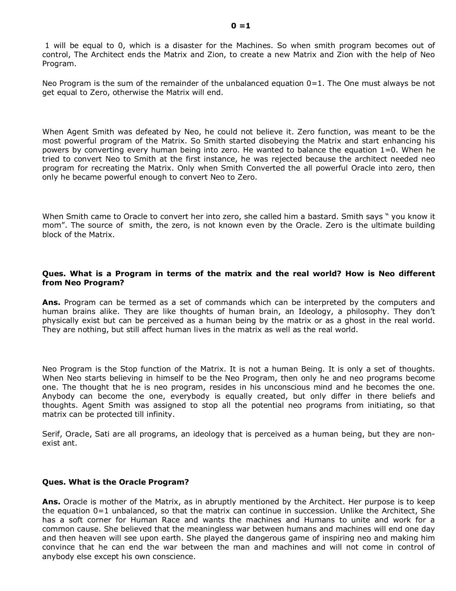1 will be equal to 0, which is a disaster for the Machines. So when smith program becomes out of control, The Architect ends the Matrix and Zion, to create a new Matrix and Zion with the help of Neo Program.

Neo Program is the sum of the remainder of the unbalanced equation  $0=1$ . The One must always be not get equal to Zero, otherwise the Matrix will end.

When Agent Smith was defeated by Neo, he could not believe it. Zero function, was meant to be the most powerful program of the Matrix. So Smith started disobeying the Matrix and start enhancing his powers by converting every human being into zero. He wanted to balance the equation 1=0. When he tried to convert Neo to Smith at the first instance, he was rejected because the architect needed neo program for recreating the Matrix. Only when Smith Converted the all powerful Oracle into zero, then only he became powerful enough to convert Neo to Zero.

When Smith came to Oracle to convert her into zero, she called him a bastard. Smith says " you know it mom". The source of smith, the zero, is not known even by the Oracle. Zero is the ultimate building block of the Matrix.

# **Ques. What is a Program in terms of the matrix and the real world? How is Neo different from Neo Program?**

**Ans.** Program can be termed as a set of commands which can be interpreted by the computers and human brains alike. They are like thoughts of human brain, an Ideology, a philosophy. They don't physically exist but can be perceived as a human being by the matrix or as a ghost in the real world. They are nothing, but still affect human lives in the matrix as well as the real world.

Neo Program is the Stop function of the Matrix. It is not a human Being. It is only a set of thoughts. When Neo starts believing in himself to be the Neo Program, then only he and neo programs become one. The thought that he is neo program, resides in his unconscious mind and he becomes the one. Anybody can become the one, everybody is equally created, but only differ in there beliefs and thoughts. Agent Smith was assigned to stop all the potential neo programs from initiating, so that matrix can be protected till infinity.

Serif, Oracle, Sati are all programs, an ideology that is perceived as a human being, but they are non exist ant.

# **Ques. What is the Oracle Program?**

**Ans.** Oracle is mother of the Matrix, as in abruptly mentioned by the Architect. Her purpose is to keep the equation 0=1 unbalanced, so that the matrix can continue in succession. Unlike the Architect, She has a soft corner for Human Race and wants the machines and Humans to unite and work for a common cause. She believed that the meaningless war between humans and machines will end one day and then heaven will see upon earth. She played the dangerous game of inspiring neo and making him convince that he can end the war between the man and machines and will not come in control of anybody else except his own conscience.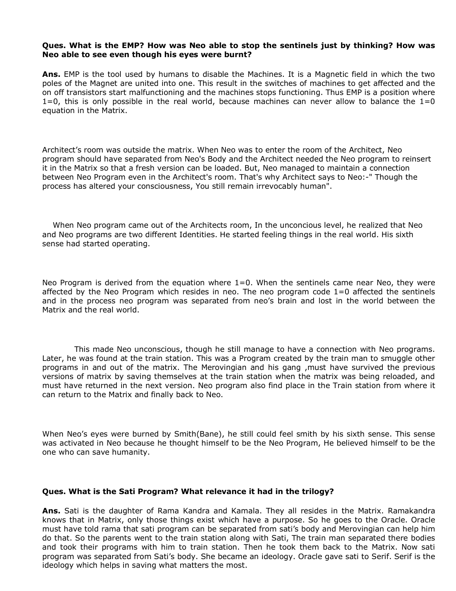#### **Ques. What is the EMP? How was Neo able to stop the sentinels just by thinking? How was Neo able to see even though his eyes were burnt?**

**Ans.** EMP is the tool used by humans to disable the Machines. It is a Magnetic field in which the two poles of the Magnet are united into one. This result in the switches of machines to get affected and the on off transistors start malfunctioning and the machines stops functioning. Thus EMP is a position where  $1=0$ , this is only possible in the real world, because machines can never allow to balance the  $1=0$ equation in the Matrix.

Architect's room was outside the matrix. When Neo was to enter the room of the Architect, Neo program should have separated from Neo's Body and the Architect needed the Neo program to reinsert it in the Matrix so that a fresh version can be loaded. But, Neo managed to maintain a connection between Neo Program even in the Architect's room. That's why Architect says to Neo:" Though the process has altered your consciousness, You still remain irrevocably human".

When Neo program came out of the Architects room, In the unconcious level, he realized that Neo and Neo programs are two different Identities. He started feeling things in the real world. His sixth sense had started operating.

Neo Program is derived from the equation where  $1=0$ . When the sentinels came near Neo, they were affected by the Neo Program which resides in neo. The neo program code 1=0 affected the sentinels and in the process neo program was separated from neo's brain and lost in the world between the Matrix and the real world.

This made Neo unconscious, though he still manage to have a connection with Neo programs. Later, he was found at the train station. This was a Program created by the train man to smuggle other programs in and out of the matrix. The Merovingian and his gang ,must have survived the previous versions of matrix by saving themselves at the train station when the matrix was being reloaded, and must have returned in the next version. Neo program also find place in the Train station from where it can return to the Matrix and finally back to Neo.

When Neo's eyes were burned by Smith(Bane), he still could feel smith by his sixth sense. This sense was activated in Neo because he thought himself to be the Neo Program, He believed himself to be the one who can save humanity.

#### **Ques. What is the Sati Program? What relevance it had in the trilogy?**

**Ans.** Sati is the daughter of Rama Kandra and Kamala. They all resides in the Matrix. Ramakandra knows that in Matrix, only those things exist which have a purpose. So he goes to the Oracle. Oracle must have told rama that sati program can be separated from sati's body and Merovingian can help him do that. So the parents went to the train station along with Sati, The train man separated there bodies and took their programs with him to train station. Then he took them back to the Matrix. Now sati program was separated from Sati's body. She became an ideology. Oracle gave sati to Serif. Serif is the ideology which helps in saving what matters the most.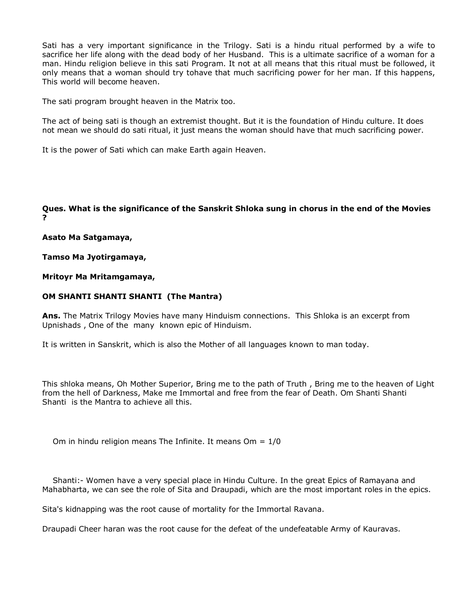Sati has a very important significance in the Trilogy. Sati is a hindu ritual performed by a wife to sacrifice her life along with the dead body of her Husband. This is a ultimate sacrifice of a woman for a man. Hindu religion believe in this sati Program. It not at all means that this ritual must be followed, it only means that a woman should try tohave that much sacrificing power for her man. If this happens, This world will become heaven.

The sati program brought heaven in the Matrix too.

The act of being sati is though an extremist thought. But it is the foundation of Hindu culture. It does not mean we should do sati ritual, it just means the woman should have that much sacrificing power.

It is the power of Sati which can make Earth again Heaven.

**Ques. What is the significance of the Sanskrit Shloka sung in chorus in the end of the Movies ?** 

**Asato Ma Satgamaya,** 

**Tamso Ma Jyotirgamaya,** 

**Mritoyr Ma Mritamgamaya,** 

#### **OM SHANTI SHANTI SHANTI (The Mantra)**

**Ans.** The Matrix Trilogy Movies have many Hinduism connections. This Shloka is an excerpt from Upnishads , One of the many known epic of Hinduism.

It is written in Sanskrit, which is also the Mother of all languages known to man today.

This shloka means, Oh Mother Superior, Bring me to the path of Truth , Bring me to the heaven of Light from the hell of Darkness, Make me Immortal and free from the fear of Death. Om Shanti Shanti Shanti is the Mantra to achieve all this.

Om in hindu religion means The Infinite. It means  $Om = 1/0$ 

Shanti: Women have a very special place in Hindu Culture. In the great Epics of Ramayana and Mahabharta, we can see the role of Sita and Draupadi, which are the most important roles in the epics.

Sita's kidnapping was the root cause of mortality for the Immortal Ravana.

Draupadi Cheer haran was the root cause for the defeat of the undefeatable Army of Kauravas.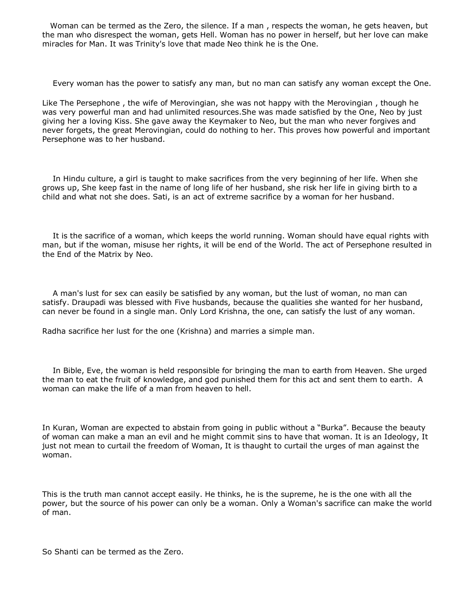Woman can be termed as the Zero, the silence. If a man , respects the woman, he gets heaven, but the man who disrespect the woman, gets Hell. Woman has no power in herself, but her love can make miracles for Man. It was Trinity's love that made Neo think he is the One.

Every woman has the power to satisfy any man, but no man can satisfy any woman except the One.

Like The Persephone , the wife of Merovingian, she was not happy with the Merovingian , though he was very powerful man and had unlimited resources.She was made satisfied by the One, Neo by just giving her a loving Kiss. She gave away the Keymaker to Neo, but the man who never forgives and never forgets, the great Merovingian, could do nothing to her. This proves how powerful and important Persephone was to her husband.

In Hindu culture, a girl is taught to make sacrifices from the very beginning of her life. When she grows up, She keep fast in the name of long life of her husband, she risk her life in giving birth to a child and what not she does. Sati, is an act of extreme sacrifice by a woman for her husband.

It is the sacrifice of a woman, which keeps the world running. Woman should have equal rights with man, but if the woman, misuse her rights, it will be end of the World. The act of Persephone resulted in the End of the Matrix by Neo.

A man's lust for sex can easily be satisfied by any woman, but the lust of woman, no man can satisfy. Draupadi was blessed with Five husbands, because the qualities she wanted for her husband, can never be found in a single man. Only Lord Krishna, the one, can satisfy the lust of any woman.

Radha sacrifice her lust for the one (Krishna) and marries a simple man.

In Bible, Eve, the woman is held responsible for bringing the man to earth from Heaven. She urged the man to eat the fruit of knowledge, and god punished them for this act and sent them to earth. A woman can make the life of a man from heaven to hell.

In Kuran, Woman are expected to abstain from going in public without a "Burka". Because the beauty of woman can make a man an evil and he might commit sins to have that woman. It is an Ideology, It just not mean to curtail the freedom of Woman, It is thaught to curtail the urges of man against the woman.

This is the truth man cannot accept easily. He thinks, he is the supreme, he is the one with all the power, but the source of his power can only be a woman. Only a Woman's sacrifice can make the world of man.

So Shanti can be termed as the Zero.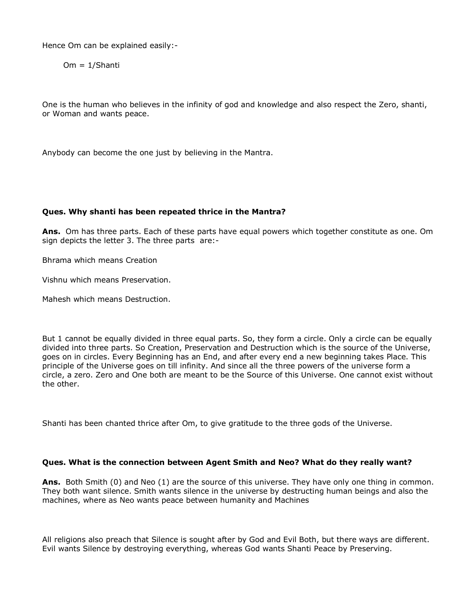Hence Om can be explained easily:

Om = 1/Shanti

One is the human who believes in the infinity of god and knowledge and also respect the Zero, shanti, or Woman and wants peace.

Anybody can become the one just by believing in the Mantra.

# **Ques. Why shanti has been repeated thrice in the Mantra?**

**Ans.**  Om has three parts. Each of these parts have equal powers which together constitute as one. Om sign depicts the letter 3. The three parts are:

Bhrama which means Creation

Vishnu which means Preservation.

Mahesh which means Destruction.

But 1 cannot be equally divided in three equal parts. So, they form a circle. Only a circle can be equally divided into three parts. So Creation, Preservation and Destruction which is the source of the Universe, goes on in circles. Every Beginning has an End, and after every end a new beginning takes Place. This principle of the Universe goes on till infinity. And since all the three powers of the universe form a circle, a zero. Zero and One both are meant to be the Source of this Universe. One cannot exist without the other.

Shanti has been chanted thrice after Om, to give gratitude to the three gods of the Universe.

# **Ques. What is the connection between Agent Smith and Neo? What do they really want?**

Ans. Both Smith (0) and Neo (1) are the source of this universe. They have only one thing in common. They both want silence. Smith wants silence in the universe by destructing human beings and also the machines, where as Neo wants peace between humanity and Machines

All religions also preach that Silence is sought after by God and Evil Both, but there ways are different. Evil wants Silence by destroying everything, whereas God wants Shanti Peace by Preserving.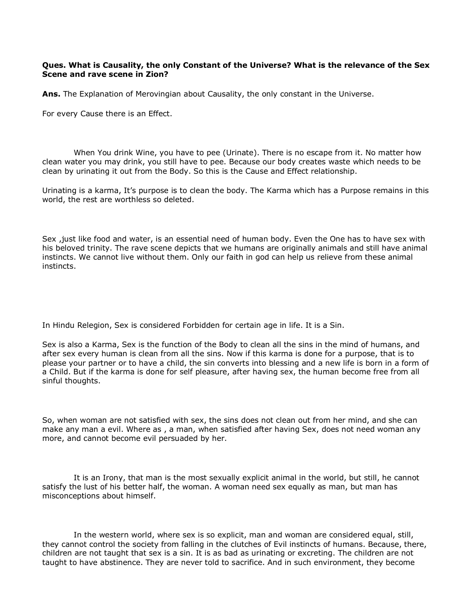# **Ques. What is Causality, the only Constant of the Universe? What is the relevance of the Sex Scene and rave scene in Zion?**

**Ans.** The Explanation of Merovingian about Causality, the only constant in the Universe.

For every Cause there is an Effect.

When You drink Wine, you have to pee (Urinate). There is no escape from it. No matter how clean water you may drink, you still have to pee. Because our body creates waste which needs to be clean by urinating it out from the Body. So this is the Cause and Effect relationship.

Urinating is a karma, It's purpose is to clean the body. The Karma which has a Purpose remains in this world, the rest are worthless so deleted.

Sex ,just like food and water, is an essential need of human body. Even the One has to have sex with his beloved trinity. The rave scene depicts that we humans are originally animals and still have animal instincts. We cannot live without them. Only our faith in god can help us relieve from these animal instincts.

In Hindu Relegion, Sex is considered Forbidden for certain age in life. It is a Sin.

Sex is also a Karma, Sex is the function of the Body to clean all the sins in the mind of humans, and after sex every human is clean from all the sins. Now if this karma is done for a purpose, that is to please your partner or to have a child, the sin converts into blessing and a new life is born in a form of a Child. But if the karma is done for self pleasure, after having sex, the human become free from all sinful thoughts.

So, when woman are not satisfied with sex, the sins does not clean out from her mind, and she can make any man a evil. Where as , a man, when satisfied after having Sex, does not need woman any more, and cannot become evil persuaded by her.

It is an Irony, that man is the most sexually explicit animal in the world, but still, he cannot satisfy the lust of his better half, the woman. A woman need sex equally as man, but man has misconceptions about himself.

In the western world, where sex is so explicit, man and woman are considered equal, still, they cannot control the society from falling in the clutches of Evil instincts of humans. Because, there, children are not taught that sex is a sin. It is as bad as urinating or excreting. The children are not taught to have abstinence. They are never told to sacrifice. And in such environment, they become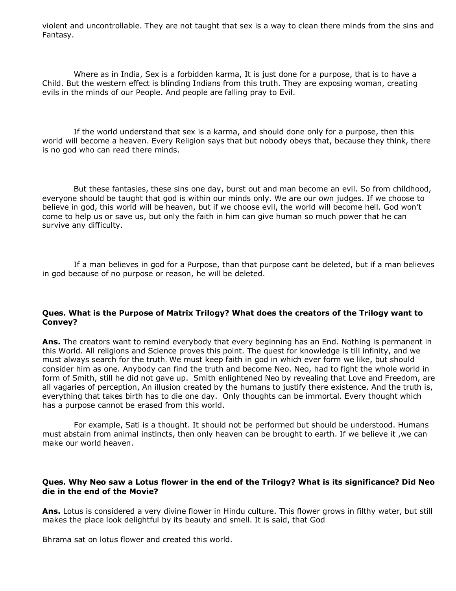violent and uncontrollable. They are not taught that sex is a way to clean there minds from the sins and Fantasy.

Where as in India, Sex is a forbidden karma, It is just done for a purpose, that is to have a Child. But the western effect is blinding Indians from this truth. They are exposing woman, creating evils in the minds of our People. And people are falling pray to Evil.

If the world understand that sex is a karma, and should done only for a purpose, then this world will become a heaven. Every Religion says that but nobody obeys that, because they think, there is no god who can read there minds.

But these fantasies, these sins one day, burst out and man become an evil. So from childhood, everyone should be taught that god is within our minds only. We are our own judges. If we choose to believe in god, this world will be heaven, but if we choose evil, the world will become hell. God won't come to help us or save us, but only the faith in him can give human so much power that he can survive any difficulty.

If a man believes in god for a Purpose, than that purpose cant be deleted, but if a man believes in god because of no purpose or reason, he will be deleted.

# **Ques. What is the Purpose of Matrix Trilogy? What does the creators of the Trilogy want to Convey?**

**Ans.** The creators want to remind everybody that every beginning has an End. Nothing is permanent in this World. All religions and Science proves this point. The quest for knowledge is till infinity, and we must always search for the truth. We must keep faith in god in which ever form we like, but should consider him as one. Anybody can find the truth and become Neo. Neo, had to fight the whole world in form of Smith, still he did not gave up. Smith enlightened Neo by revealing that Love and Freedom, are all vagaries of perception, An illusion created by the humans to justify there existence. And the truth is, everything that takes birth has to die one day. Only thoughts can be immortal. Every thought which has a purpose cannot be erased from this world.

For example, Sati is a thought. It should not be performed but should be understood. Humans must abstain from animal instincts, then only heaven can be brought to earth. If we believe it ,we can make our world heaven.

# **Ques. Why Neo saw a Lotus flower in the end of the Trilogy? What is its significance? Did Neo die in the end of the Movie?**

**Ans.** Lotus is considered a very divine flower in Hindu culture. This flower grows in filthy water, but still makes the place look delightful by its beauty and smell. It is said, that God

Bhrama sat on lotus flower and created this world.